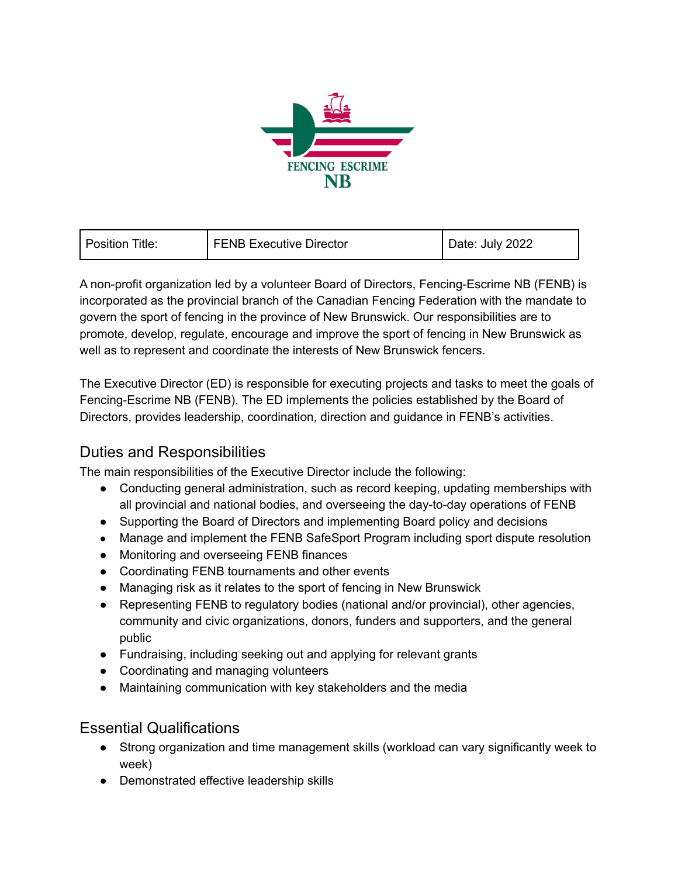

| Position Title: | <b>FENB Executive Director</b> | Date: July 2022 |
|-----------------|--------------------------------|-----------------|
|-----------------|--------------------------------|-----------------|

A non-profit organization led by a volunteer Board of Directors, Fencing-Escrime NB (FENB) is incorporated as the provincial branch of the Canadian Fencing Federation with the mandate to govern the sport of fencing in the province of New Brunswick. Our responsibilities are to promote, develop, regulate, encourage and improve the sport of fencing in New Brunswick as well as to represent and coordinate the interests of New Brunswick fencers.

The Executive Director (ED) is responsible for executing projects and tasks to meet the goals of Fencing-Escrime NB (FENB). The ED implements the policies established by the Board of Directors, provides leadership, coordination, direction and guidance in FENB's activities.

## Duties and Responsibilities

The main responsibilities of the Executive Director include the following:

- Conducting general administration, such as record keeping, updating memberships with all provincial and national bodies, and overseeing the day-to-day operations of FENB
- Supporting the Board of Directors and implementing Board policy and decisions
- Manage and implement the FENB SafeSport Program including sport dispute resolution
- Monitoring and overseeing FENB finances
- Coordinating FENB tournaments and other events
- Managing risk as it relates to the sport of fencing in New Brunswick
- Representing FENB to regulatory bodies (national and/or provincial), other agencies, community and civic organizations, donors, funders and supporters, and the general public
- Fundraising, including seeking out and applying for relevant grants
- Coordinating and managing volunteers
- Maintaining communication with key stakeholders and the media

## Essential Qualifications

- Strong organization and time management skills (workload can vary significantly week to week)
- Demonstrated effective leadership skills